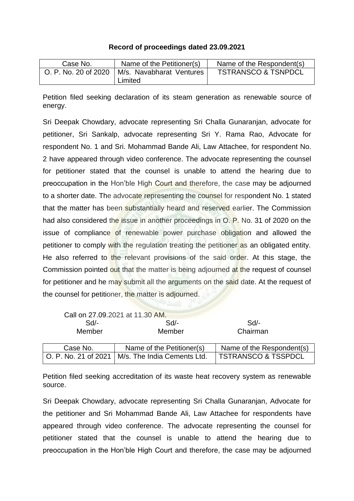## **Record of proceedings dated 23.09.2021**

| Case No.             | Name of the Petitioner(s) | Name of the Respondent(s)      |
|----------------------|---------------------------|--------------------------------|
| O. P. No. 20 of 2020 | M/s. Navabharat Ventures  | <b>TSTRANSCO &amp; TSNPDCL</b> |
|                      | Limited                   |                                |

Petition filed seeking declaration of its steam generation as renewable source of energy.

Sri Deepak Chowdary, advocate representing Sri Challa Gunaranjan, advocate for petitioner, Sri Sankalp, advocate representing Sri Y. Rama Rao, Advocate for respondent No. 1 and Sri. Mohammad Bande Ali, Law Attachee, for respondent No. 2 have appeared through video conference. The advocate representing the counsel for petitioner stated that the counsel is unable to attend the hearing due to preoccupation in the Hon'ble High Court and therefore, the case may be adjourned to a shorter date. The advocate representing the counsel for respondent No. 1 stated that the matter has been substantially heard and reserved earlier. The Commission had also considered the issue in another proceedings in O. P. No. 31 of 2020 on the issue of compliance of renewable power purchase obligation and allowed the petitioner to comply with the regulation treating the petitioner as an obligated entity. He also referred to the relevant provisions of the said order. At this stage, the Commission pointed out that the matter is being adjourned at the request of counsel for petitioner and he may submit all the arguments on the said date. At the request of the counsel for petitioner, the matter is adjourned.

|                      | Call on 27.09.2021 at 11.30 AM. |                                |
|----------------------|---------------------------------|--------------------------------|
| $Sd$ -               | $Sd$ -                          | Sd                             |
| Member               | Member                          | Chairman                       |
|                      |                                 |                                |
| Case No.             | Name of the Petitioner(s)       | Name of the Respondent(s)      |
| O. P. No. 21 of 2021 | M/s. The India Cements Ltd.     | <b>TSTRANSCO &amp; TSSPDCL</b> |

Petition filed seeking accreditation of its waste heat recovery system as renewable source.

Sri Deepak Chowdary, advocate representing Sri Challa Gunaranjan, Advocate for the petitioner and Sri Mohammad Bande Ali, Law Attachee for respondents have appeared through video conference. The advocate representing the counsel for petitioner stated that the counsel is unable to attend the hearing due to preoccupation in the Hon'ble High Court and therefore, the case may be adjourned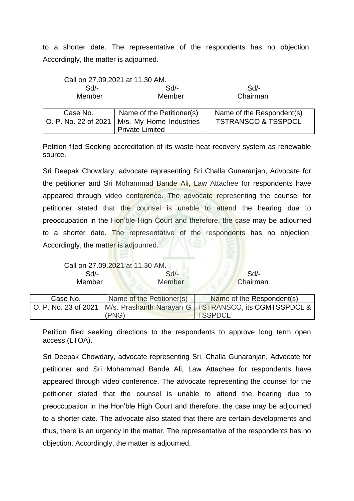to a shorter date. The representative of the respondents has no objection. Accordingly, the matter is adjourned.

|                      | Call on 27.09.2021 at 11.30 AM. |                                |
|----------------------|---------------------------------|--------------------------------|
| $Sd$ -               | $Sd$ -                          | Sd                             |
| Member               | Member                          | Chairman                       |
|                      |                                 |                                |
| Case No.             | Name of the Petitioner(s)       | Name of the Respondent(s)      |
| O. P. No. 22 of 2021 | M/s. My Home Industries         | <b>TSTRANSCO &amp; TSSPDCL</b> |
|                      | <b>Private Limited</b>          |                                |

Petition filed Seeking accreditation of its waste heat recovery system as renewable source.

Sri Deepak Chowdary, advocate representing Sri Challa Gunaranjan, Advocate for the petitioner and Sri Mohammad Bande Ali, Law Attachee for respondents have appeared through video conference. The advocate representing the counsel for petitioner stated that the counsel is unable to attend the hearing due to preoccupation in the Hon'ble High Court and therefore, the case may be adjourned to a shorter date. The representative of the respondents has no objection. Accordingly, the matter is adjourned.

| Call on 27.09.2021 at 11.30 AM. |               |          |
|---------------------------------|---------------|----------|
| Sd/-                            | $Sd$ -        | Sd       |
| Member                          | <b>Member</b> | Chairman |

| Case No. | Name of the Petitioner(s) | Name of the Respondent(s)                                                                       |
|----------|---------------------------|-------------------------------------------------------------------------------------------------|
|          | (PNG)                     | O. P. No. 23 of 2021   M/s. Prashanth Narayan G   TSTRANSCO, its CGMTSSPDCL &<br><b>TSSPDCL</b> |
|          |                           |                                                                                                 |

Petition filed seeking directions to the respondents to approve long term open access (LTOA).

Sri Deepak Chowdary, advocate representing Sri. Challa Gunaranjan, Advocate for petitioner and Sri Mohammad Bande Ali, Law Attachee for respondents have appeared through video conference. The advocate representing the counsel for the petitioner stated that the counsel is unable to attend the hearing due to preoccupation in the Hon'ble High Court and therefore, the case may be adjourned to a shorter date. The advocate also stated that there are certain developments and thus, there is an urgency in the matter. The representative of the respondents has no objection. Accordingly, the matter is adjourned.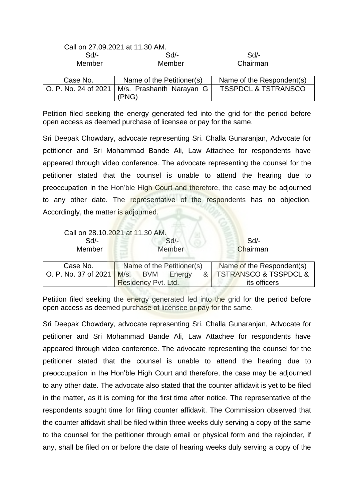|                      | <u> UU II LIIUU ILULII ULIIIUU INNII</u> |                                |
|----------------------|------------------------------------------|--------------------------------|
| $Sd$ -               | $Sd$ -                                   | Sd                             |
| Member               | Member                                   | Chairman                       |
| Case No.             | Name of the Petitioner(s)                | Name of the Respondent(s)      |
| O. P. No. 24 of 2021 | M/s. Prashanth Narayan G<br>(PNG)        | <b>TSSPDCL &amp; TSTRANSCO</b> |

Call on 27.09.2021 at 11.30 AM.

Petition filed seeking the energy generated fed into the grid for the period before open access as deemed purchase of licensee or pay for the same.

Sri Deepak Chowdary, advocate representing Sri. Challa Gunaranjan, Advocate for petitioner and Sri Mohammad Bande Ali, Law Attachee for respondents have appeared through video conference. The advocate representing the counsel for the petitioner stated that the counsel is unable to attend the hearing due to preoccupation in the Hon'ble High Court and therefore, the case may be adjourned to any other date. The representative of the respondents has no objection. Accordingly, the matter is adjourned.

|                      | Call on 28.10.2021 at 11.30 AM.   |                                      |
|----------------------|-----------------------------------|--------------------------------------|
| $Sd$ -               | $Sd$ -                            | Sd                                   |
| Member               | Member                            | Chairman                             |
|                      |                                   |                                      |
| Case No.             | Name of the Petitioner(s)         | Name of the Respondent(s)            |
| O. P. No. 37 of 2021 | M/s.<br>&<br><b>BVM</b><br>Energy | <b>TSTRANSCO &amp; TSSPDCL &amp;</b> |
|                      | Residency Pvt. Ltd.               | its officers                         |

Petition filed seeking the energy generated fed into the grid for the period before open access as deemed purchase of licensee or pay for the same.

Sri Deepak Chowdary, advocate representing Sri. Challa Gunaranjan, Advocate for petitioner and Sri Mohammad Bande Ali, Law Attachee for respondents have appeared through video conference. The advocate representing the counsel for the petitioner stated that the counsel is unable to attend the hearing due to preoccupation in the Hon'ble High Court and therefore, the case may be adjourned to any other date. The advocate also stated that the counter affidavit is yet to be filed in the matter, as it is coming for the first time after notice. The representative of the respondents sought time for filing counter affidavit. The Commission observed that the counter affidavit shall be filed within three weeks duly serving a copy of the same to the counsel for the petitioner through email or physical form and the rejoinder, if any, shall be filed on or before the date of hearing weeks duly serving a copy of the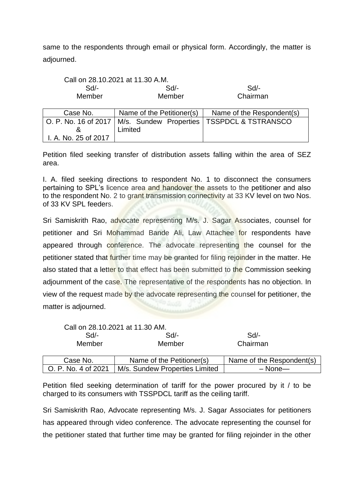same to the respondents through email or physical form. Accordingly, the matter is adjourned.

|          | Call on 28.10.2021 at 11.30 A.M. |                                                                      |
|----------|----------------------------------|----------------------------------------------------------------------|
| Sd/-     | $Sd$ -                           | Sd/-                                                                 |
| Member   | Member                           | Chairman                                                             |
| Case No. | Name of the Petitioner(s)        | Name of the Respondent(s)                                            |
|          |                                  | $\cap$ P No 16 of 2017   M/s Sundow Properties   TSSPDCI & TSTRANSCO |

 $\overline{\phantom{0}}$ 

| <b>0000 110.</b>     | $\sim$  | $\sim$ . The contract that is the contract of the contract of the contract of the contract of the contract of the contract of the contract of the contract of the contract of the contract of the contract of the contract of t |
|----------------------|---------|---------------------------------------------------------------------------------------------------------------------------------------------------------------------------------------------------------------------------------|
|                      |         | O. P. No. 16 of 2017   M/s. Sundew Properties   TSSPDCL & TSTRANSCO                                                                                                                                                             |
|                      | Limited |                                                                                                                                                                                                                                 |
| I. A. No. 25 of 2017 |         |                                                                                                                                                                                                                                 |

Petition filed seeking transfer of distribution assets falling within the area of SEZ area.

I. A. filed seeking directions to respondent No. 1 to disconnect the consumers pertaining to SPL's licence area and handover the assets to the petitioner and also to the respondent No. 2 to grant transmission connectivity at 33 KV level on two Nos. of 33 KV SPL feeders.

Sri Samiskrith Rao, advocate representing M/s. J. Sagar Associates, counsel for petitioner and Sri Mohammad Bande Ali, Law Attachee for respondents have appeared through conference. The advocate representing the counsel for the petitioner stated that further time may be granted for filing rejoinder in the matter. He also stated that a letter to that effect has been submitted to the Commission seeking adjournment of the case. The representative of the respondents has no objection. In view of the request made by the advocate representing the counsel for petitioner, the matter is adjourned.

|                     | Call on 28.10.2021 at 11.30 AM. |                           |
|---------------------|---------------------------------|---------------------------|
| $Sd$ -              | $Sd$ -                          | Sd                        |
| Member              | Member                          | Chairman                  |
|                     |                                 |                           |
| Case No.            | Name of the Petitioner(s)       | Name of the Respondent(s) |
| O. P. No. 4 of 2021 | M/s. Sundew Properties Limited  | $-$ None $-$              |

Petition filed seeking determination of tariff for the power procured by it / to be charged to its consumers with TSSPDCL tariff as the ceiling tariff.

Sri Samiskrith Rao, Advocate representing M/s. J. Sagar Associates for petitioners has appeared through video conference. The advocate representing the counsel for the petitioner stated that further time may be granted for filing rejoinder in the other